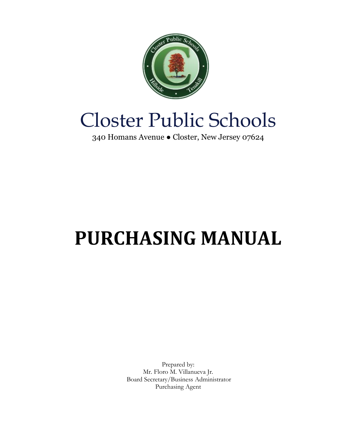

## Closter Public Schools

340 Homans Avenue ● Closter, New Jersey 07624

# **PURCHASING MANUAL**

Prepared by: Mr. Floro M. Villanueva Jr. Board Secretary/Business Administrator Purchasing Agent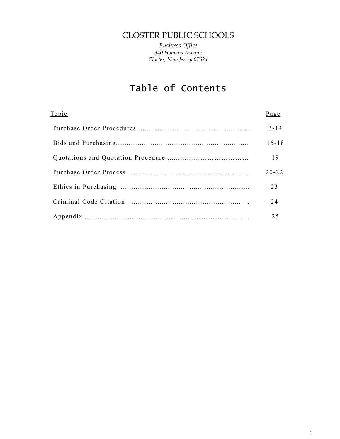## CLOSTER PUBLIC SCHOOLS

*Business Office 340 Homans Avenue Closter, New Jersey 07624*

## Table of Contents

| Topic | Page      |
|-------|-----------|
|       | $3 - 14$  |
|       | $15 - 18$ |
|       | 19        |
|       | $20 - 22$ |
|       | 23        |
|       | 24        |
|       | 25        |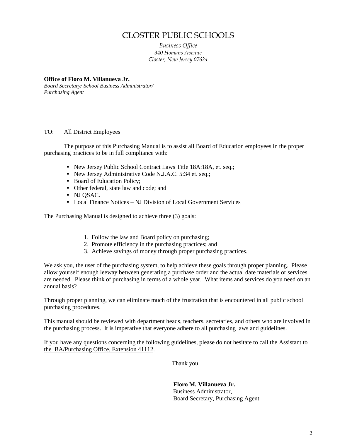## CLOSTER PUBLIC SCHOOLS

*Business Office 340 Homans Avenue Closter, New Jersey 07624*

#### **Office of Floro M. Villanueva Jr.**

*Board Secretary/ School Business Administrator/ Purchasing Agent*

#### TO: All District Employees

The purpose of this Purchasing Manual is to assist all Board of Education employees in the proper purchasing practices to be in full compliance with:

- New Jersey Public School Contract Laws Title 18A:18A, et. seq.;
- New Jersey Administrative Code N.J.A.C. 5:34 et. seq.;
- Board of Education Policy;
- Other federal, state law and code; and
- NJ QSAC.
- Local Finance Notices NJ Division of Local Government Services

The Purchasing Manual is designed to achieve three (3) goals:

- 1. Follow the law and Board policy on purchasing;
- 2. Promote efficiency in the purchasing practices; and
- 3. Achieve savings of money through proper purchasing practices.

We ask you, the user of the purchasing system, to help achieve these goals through proper planning. Please allow yourself enough leeway between generating a purchase order and the actual date materials or services are needed. Please think of purchasing in terms of a whole year. What items and services do you need on an annual basis?

Through proper planning, we can eliminate much of the frustration that is encountered in all public school purchasing procedures.

This manual should be reviewed with department heads, teachers, secretaries, and others who are involved in the purchasing process. It is imperative that everyone adhere to all purchasing laws and guidelines.

If you have any questions concerning the following guidelines, please do not hesitate to call the Assistant to the BA/Purchasing Office, Extension 41112.

Thank you,

 **Floro M. Villanueva Jr.** Business Administrator, Board Secretary, Purchasing Agent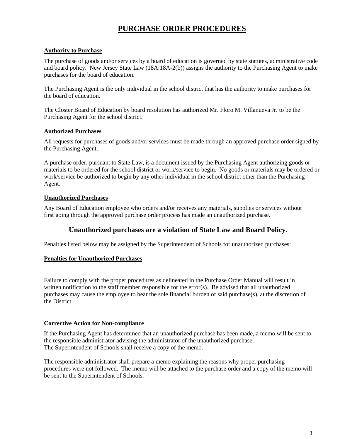## **PURCHASE ORDER PROCEDURES**

#### **Authority to Purchase**

The purchase of goods and/or services by a board of education is governed by state statutes, administrative code and board policy. New Jersey State Law (18A:18A-2(b)) assigns the authority to the Purchasing Agent to make purchases for the board of education.

The Purchasing Agent is the only individual in the school district that has the authority to make purchases for the board of education.

The Closter Board of Education by board resolution has authorized Mr. Floro M. Villanueva Jr. to be the Purchasing Agent for the school district.

#### **Authorized Purchases**

All requests for purchases of goods and/or services must be made through an approved purchase order signed by the Purchasing Agent.

A purchase order, pursuant to State Law, is a document issued by the Purchasing Agent authorizing goods or materials to be ordered for the school district or work/service to begin. No goods or materials may be ordered or work/service be authorized to begin by any other individual in the school district other than the Purchasing Agent.

#### **Unauthorized Purchases**

Any Board of Education employee who orders and/or receives any materials, supplies or services without first going through the approved purchase order process has made an unauthorized purchase.

#### **Unauthorized purchases are a violation of State Law and Board Policy.**

Penalties listed below may be assigned by the Superintendent of Schools for unauthorized purchases:

#### **Penalties for Unauthorized Purchases**

Failure to comply with the proper procedures as delineated in the Purchase Order Manual will result in written notification to the staff member responsible for the error(s). Be advised that all unauthorized purchases may cause the employee to bear the sole financial burden of said purchase(s), at the discretion of the District.

#### **Corrective Action for Non-compliance**

If the Purchasing Agent has determined that an unauthorized purchase has been made, a memo will be sent to the responsible administrator advising the administrator of the unauthorized purchase. The Superintendent of Schools shall receive a copy of the memo.

The responsible administrator shall prepare a memo explaining the reasons why proper purchasing procedures were not followed. The memo will be attached to the purchase order and a copy of the memo will be sent to the Superintendent of Schools.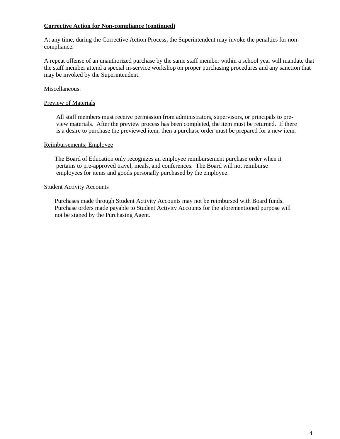#### **Corrective Action for Non-compliance (continued)**

At any time, during the Corrective Action Process, the Superintendent may invoke the penalties for noncompliance.

A repeat offense of an unauthorized purchase by the same staff member within a school year will mandate that the staff member attend a special in-service workshop on proper purchasing procedures and any sanction that may be invoked by the Superintendent.

#### Miscellaneous:

#### Preview of Materials

 All staff members must receive permission from administrators, supervisors, or principals to pre view materials. After the preview process has been completed, the item must be returned. If there is a desire to purchase the previewed item, then a purchase order must be prepared for a new item.

#### Reimbursements; Employee

 The Board of Education only recognizes an employee reimbursement purchase order when it pertains to pre-approved travel, meals, and conferences. The Board will not reimburse employees for items and goods personally purchased by the employee.

#### Student Activity Accounts

 Purchases made through Student Activity Accounts may not be reimbursed with Board funds. Purchase orders made payable to Student Activity Accounts for the aforementioned purpose will not be signed by the Purchasing Agent.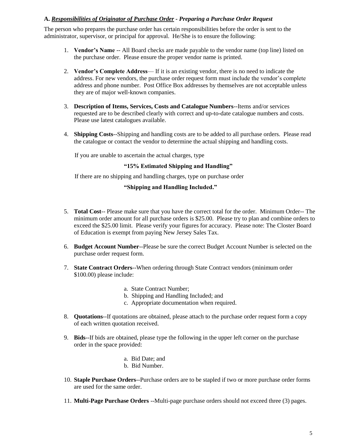#### **A.** *Responsibilities of Originator of Purchase Order - Preparing a Purchase Order Request*

The person who prepares the purchase order has certain responsibilities before the order is sent to the administrator, supervisor, or principal for approval. He/She is to ensure the following:

- 1. **Vendor's Name** -- All Board checks are made payable to the vendor name (top line) listed on the purchase order. Please ensure the proper vendor name is printed.
- 2. **Vendor's Complete Address** If it is an existing vendor, there is no need to indicate the address. For new vendors, the purchase order request form must include the vendor's complete address and phone number. Post Office Box addresses by themselves are not acceptable unless they are of major well-known companies.
- 3. **Description of Items, Services, Costs and Catalogue Numbers**--Items and/or services requested are to be described clearly with correct and up-to-date catalogue numbers and costs. Please use latest catalogues available.
- 4. **Shipping Costs**--Shipping and handling costs are to be added to all purchase orders. Please read the catalogue or contact the vendor to determine the actual shipping and handling costs.

If you are unable to ascertain the actual charges, type

#### **"15% Estimated Shipping and Handling"**

If there are no shipping and handling charges, type on purchase order

#### **"Shipping and Handling Included."**

- 5. **Total Cost**-- Please make sure that you have the correct total for the order. Minimum Order-- The minimum order amount for all purchase orders is \$25.00. Please try to plan and combine orders to exceed the \$25.00 limit. Please verify your figures for accuracy. Please note: The Closter Board of Education is exempt from paying New Jersey Sales Tax.
- 6. **Budget Account Number**--Please be sure the correct Budget Account Number is selected on the purchase order request form.
- 7. **State Contract Orders**--When ordering through State Contract vendors (minimum order \$100.00) please include:
	- a. State Contract Number;
	- b. Shipping and Handling Included; and
	- c. Appropriate documentation when required.
- 8. **Quotations**--If quotations are obtained, please attach to the purchase order request form a copy of each written quotation received.
- 9. **Bids**--If bids are obtained, please type the following in the upper left corner on the purchase order in the space provided:
	- a. Bid Date; and
	- b. Bid Number.
- 10. **Staple Purchase Orders**--Purchase orders are to be stapled if two or more purchase order forms are used for the same order.
- 11. **Multi-Page Purchase Orders** --Multi-page purchase orders should not exceed three (3) pages.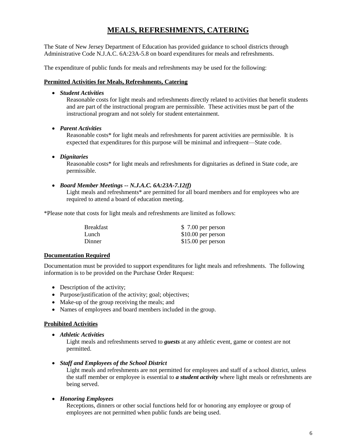## **MEALS, REFRESHMENTS, CATERING**

The State of New Jersey Department of Education has provided guidance to school districts through Administrative Code N.J.A.C. 6A:23A-5.8 on board expenditures for meals and refreshments.

The expenditure of public funds for meals and refreshments may be used for the following:

#### **Permitted Activities for Meals, Refreshments, Catering**

*Student Activities*

Reasonable costs for light meals and refreshments directly related to activities that benefit students and are part of the instructional program are permissible. These activities must be part of the instructional program and not solely for student entertainment.

*Parent Activities*

Reasonable costs\* for light meals and refreshments for parent activities are permissible. It is expected that expenditures for this purpose will be minimal and infrequent—State code.

*Dignitaries*

Reasonable costs\* for light meals and refreshments for dignitaries as defined in State code, are permissible.

*Board Member Meetings -- N.J.A.C. 6A:23A-7.12(f)*

Light meals and refreshments\* are permitted for all board members and for employees who are required to attend a board of education meeting.

\*Please note that costs for light meals and refreshments are limited as follows:

| Breakfast | $$7.00$ per person  |
|-----------|---------------------|
| Lunch     | $$10.00$ per person |
| Dinner    | $$15.00$ per person |

#### **Documentation Required**

Documentation must be provided to support expenditures for light meals and refreshments. The following information is to be provided on the Purchase Order Request:

- Description of the activity;
- Purpose/justification of the activity; goal; objectives;
- Make-up of the group receiving the meals; and
- Names of employees and board members included in the group.

#### **Prohibited Activities**

*Athletic Activities*

Light meals and refreshments served to *guests* at any athletic event, game or contest are not permitted.

*Staff and Employees of the School District*

Light meals and refreshments are not permitted for employees and staff of a school district, unless the staff member or employee is essential to *a student activity* where light meals or refreshments are being served.

#### *Honoring Employees*

Receptions, dinners or other social functions held for or honoring any employee or group of employees are not permitted when public funds are being used.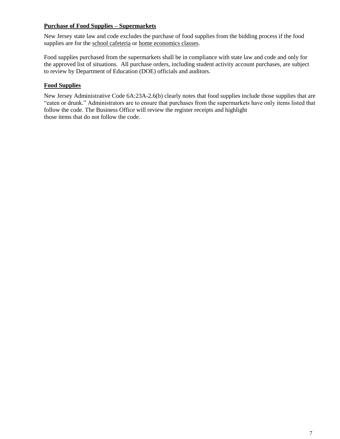#### **Purchase of Food Supplies – Supermarkets**

New Jersey state law and code excludes the purchase of food supplies from the bidding process if the food supplies are for the school cafeteria or home economics classes.

Food supplies purchased from the supermarkets shall be in compliance with state law and code and only for the approved list of situations. All purchase orders, including student activity account purchases, are subject to review by Department of Education (DOE) officials and auditors.

#### **Food Supplies**

New Jersey Administrative Code 6A:23A-2.6(b) clearly notes that food supplies include those supplies that are "eaten or drunk." Administrators are to ensure that purchases from the supermarkets have only items listed that follow the code. The Business Office will review the register receipts and highlight those items that do not follow the code.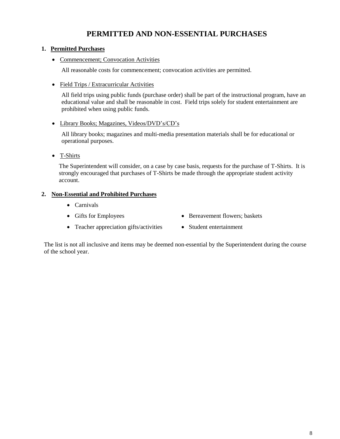## **PERMITTED AND NON-ESSENTIAL PURCHASES**

#### **1. Permitted Purchases**

• Commencement; Convocation Activities

All reasonable costs for commencement; convocation activities are permitted.

Field Trips / Extracurricular Activities

All field trips using public funds (purchase order) shall be part of the instructional program, have an educational value and shall be reasonable in cost. Field trips solely for student entertainment are prohibited when using public funds.

• Library Books; Magazines, Videos/DVD's/CD's

All library books; magazines and multi-media presentation materials shall be for educational or operational purposes.

• T-Shirts

The Superintendent will consider, on a case by case basis, requests for the purchase of T-Shirts. It is strongly encouraged that purchases of T-Shirts be made through the appropriate student activity account.

#### **2. Non-Essential and Prohibited Purchases**

- Carnivals
- 
- Gifts for Employees Bereavement flowers; baskets
- Teacher appreciation gifts/activities Student entertainment
- 

The list is not all inclusive and items may be deemed non-essential by the Superintendent during the course of the school year.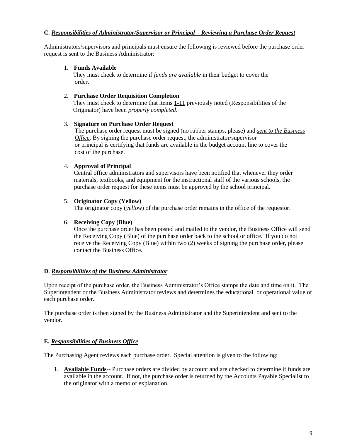#### **C**. *Responsibilities of Administrator/Supervisor or Principal – Reviewing a Purchase Order Request*

Administrators/supervisors and principals must ensure the following is reviewed before the purchase order request is sent to the Business Administrator:

#### 1. **Funds Available**

 They must check to determine if *funds are available* in their budget to cover the order.

#### 2. **Purchase Order Requisition Completion**

 They must check to determine that items 1-11 previously noted (Responsibilities of the Originator) have been *properly completed*.

#### 3. **Signature on Purchase Order Request**

 The purchase order request must be signed (no rubber stamps, please) and *sent to the Business <i>Office*. By signing the purchase order request, the administrator/supervisor or principal is certifying that funds are available in the budget account line to cover the cost of the purchase.

#### 4. **Approval of Principal**

Central office administrators and supervisors have been notified that whenever they order materials, textbooks, and equipment for the instructional staff of the various schools, the purchase order request for these items must be approved by the school principal.

#### 5. **Originator Copy (Yellow)**

The originator copy (*yellow*) of the purchase order remains in the office of the requestor.

#### 6. **Receiving Copy (Blue)**

Once the purchase order has been posted and mailed to the vendor, the Business Office will send the Receiving Copy (Blue) of the purchase order back to the school or office. If you do not receive the Receiving Copy (Blue) within two (2) weeks of signing the purchase order, please contact the Business Office.

#### **D**. *Responsibilities of the Business Administrator*

Upon receipt of the purchase order, the Business Administrator's Office stamps the date and time on it. The Superintendent or the Business Administrator reviews and determines the educational or operational value of each purchase order.

The purchase order is then signed by the Business Administrator and the Superintendent and sent to the vendor.

#### **E.** *Responsibilities of Business Office*

The Purchasing Agent reviews each purchase order. Special attention is given to the following:

1. **Available Funds**-- Purchase orders are divided by account and are checked to determine if funds are available in the account. If not, the purchase order is returned by the Accounts Payable Specialist to the originator with a memo of explanation.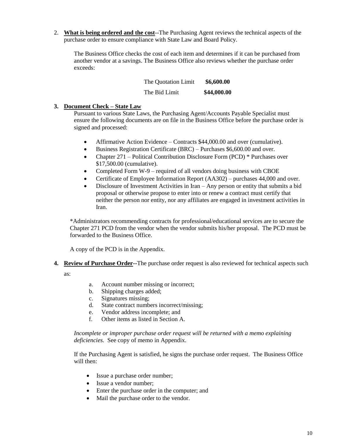2. **What is being ordered and the cost**--The Purchasing Agent reviews the technical aspects of the purchase order to ensure compliance with State Law and Board Policy.

The Business Office checks the cost of each item and determines if it can be purchased from another vendor at a savings. The Business Office also reviews whether the purchase order exceeds:

| The Quotation Limit | \$6,600.00  |
|---------------------|-------------|
| The Bid Limit       | \$44,000.00 |

#### **3. Document Check – State Law**

Pursuant to various State Laws, the Purchasing Agent/Accounts Payable Specialist must ensure the following documents are on file in the Business Office before the purchase order is signed and processed:

- Affirmative Action Evidence Contracts \$44,000.00 and over (cumulative).
- Business Registration Certificate (BRC) Purchases \$6,600.00 and over.
- Chapter 271 Political Contribution Disclosure Form (PCD) \* Purchases over \$17,500.00 (cumulative).
- Completed Form W-9 required of all vendors doing business with CBOE
- Certificate of Employee Information Report (AA302) purchases 44,000 and over.
- Disclosure of Investment Activities in Iran Any person or entity that submits a bid proposal or otherwise propose to enter into or renew a contract must certify that neither the person nor entity, nor any affiliates are engaged in investment activities in Iran.

\*Administrators recommending contracts for professional/educational services are to secure the Chapter 271 PCD from the vendor when the vendor submits his/her proposal. The PCD must be forwarded to the Business Office.

A copy of the PCD is in the Appendix.

**4. Review of Purchase Order--**The purchase order request is also reviewed for technical aspects such

as:

- a. Account number missing or incorrect;
- b. Shipping charges added;
- c. Signatures missing;
- d. State contract numbers incorrect/missing;
- e. Vendor address incomplete; and
- f. Other items as listed in Section A.

*Incomplete or improper purchase order request will be returned with a memo explaining deficiencies.* See copy of memo in Appendix.

If the Purchasing Agent is satisfied, he signs the purchase order request. The Business Office will then:

- Issue a purchase order number;
- Issue a vendor number;
- Enter the purchase order in the computer; and
- Mail the purchase order to the vendor.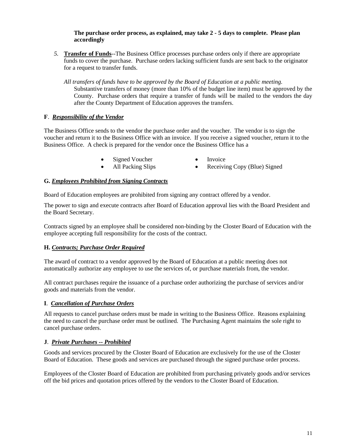#### **The purchase order process, as explained, may take 2 - 5 days to complete. Please plan accordingly**

- *5.* **Transfer of Funds**--The Business Office processes purchase orders only if there are appropriate funds to cover the purchase. Purchase orders lacking sufficient funds are sent back to the originator for a request to transfer funds.
	- *All transfers of funds have to be approved by the Board of Education at a public meeting.* Substantive transfers of money (more than 10% of the budget line item) must be approved by the County. Purchase orders that require a transfer of funds will be mailed to the vendors the day after the County Department of Education approves the transfers.

#### **F**. *Responsibility of the Vendor*

The Business Office sends to the vendor the purchase order and the voucher. The vendor is to sign the voucher and return it to the Business Office with an invoice. If you receive a signed voucher, return it to the Business Office. A check is prepared for the vendor once the Business Office has a

- Signed Voucher Invoice
	-
	-
- All Packing Slips Receiving Copy (Blue) Signed

#### **G.** *Employees Prohibited from Signing Contracts*

Board of Education employees are prohibited from signing any contract offered by a vendor.

The power to sign and execute contracts after Board of Education approval lies with the Board President and the Board Secretary.

Contracts signed by an employee shall be considered non-binding by the Closter Board of Education with the employee accepting full responsibility for the costs of the contract.

#### **H.** *Contracts; Purchase Order Required*

The award of contract to a vendor approved by the Board of Education at a public meeting does not automatically authorize any employee to use the services of, or purchase materials from, the vendor.

All contract purchases require the issuance of a purchase order authorizing the purchase of services and/or goods and materials from the vendor.

#### **I**. *Cancellation of Purchase Orders*

All requests to cancel purchase orders must be made in writing to the Business Office. Reasons explaining the need to cancel the purchase order must be outlined. The Purchasing Agent maintains the sole right to cancel purchase orders.

#### **J**. *Private Purchases -- Prohibited*

Goods and services procured by the Closter Board of Education are exclusively for the use of the Closter Board of Education. These goods and services are purchased through the signed purchase order process.

Employees of the Closter Board of Education are prohibited from purchasing privately goods and/or services off the bid prices and quotation prices offered by the vendors to the Closter Board of Education.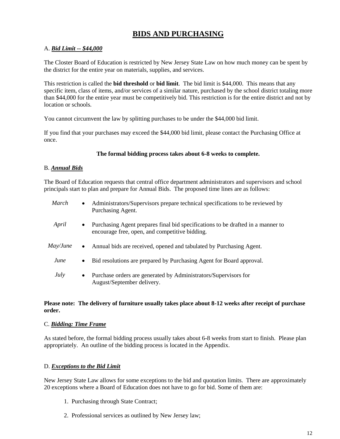## **BIDS AND PURCHASING**

#### A. *Bid Limit -- \$44,000*

The Closter Board of Education is restricted by New Jersey State Law on how much money can be spent by the district for the entire year on materials, supplies, and services.

This restriction is called the **bid threshold** or **bid limit**. The bid limit is \$44,000. This means that any specific item, class of items, and/or services of a similar nature, purchased by the school district totaling more than \$44,000 for the entire year must be competitively bid. This restriction is for the entire district and not by location or schools.

You cannot circumvent the law by splitting purchases to be under the \$44,000 bid limit.

If you find that your purchases may exceed the \$44,000 bid limit, please contact the Purchasing Office at once.

#### **The formal bidding process takes about 6-8 weeks to complete.**

#### B. *Annual Bids*

The Board of Education requests that central office department administrators and supervisors and school principals start to plan and prepare for Annual Bids. The proposed time lines are as follows:

| March       | $\bullet$ | Administrators/Supervisors prepare technical specifications to be reviewed by<br>Purchasing Agent.                                |
|-------------|-----------|-----------------------------------------------------------------------------------------------------------------------------------|
| April       | $\bullet$ | Purchasing Agent prepares final bid specifications to be drafted in a manner to<br>encourage free, open, and competitive bidding. |
| May/June    | $\bullet$ | Annual bids are received, opened and tabulated by Purchasing Agent.                                                               |
| June        | $\bullet$ | Bid resolutions are prepared by Purchasing Agent for Board approval.                                                              |
| <i>July</i> | $\bullet$ | Purchase orders are generated by Administrators/Supervisors for<br>August/September delivery.                                     |

#### **Please note: The delivery of furniture usually takes place about 8-12 weeks after receipt of purchase order.**

#### C. *Bidding: Time Frame*

As stated before, the formal bidding process usually takes about 6-8 weeks from start to finish. Please plan appropriately. An outline of the bidding process is located in the Appendix.

#### D. *Exceptions to the Bid Limit*

New Jersey State Law allows for some exceptions to the bid and quotation limits. There are approximately 20 exceptions where a Board of Education does not have to go for bid. Some of them are:

- 1. Purchasing through State Contract;
- 2. Professional services as outlined by New Jersey law;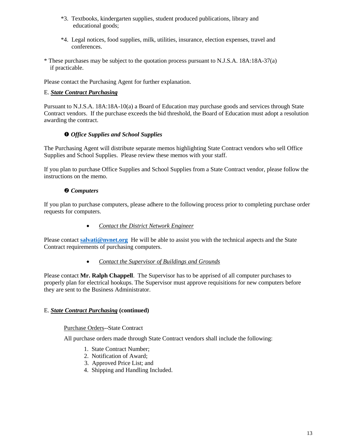- \*3. Textbooks, kindergarten supplies, student produced publications, library and educational goods;
- \*4. Legal notices, food supplies, milk, utilities, insurance, election expenses, travel and conferences.
- \* These purchases may be subject to the quotation process pursuant to N.J.S.A. 18A:18A-37(a) if practicable.

Please contact the Purchasing Agent for further explanation.

#### E. *State Contract Purchasing*

Pursuant to N.J.S.A. 18A:18A-10(a) a Board of Education may purchase goods and services through State Contract vendors. If the purchase exceeds the bid threshold, the Board of Education must adopt a resolution awarding the contract.

#### *Office Supplies and School Supplies*

The Purchasing Agent will distribute separate memos highlighting State Contract vendors who sell Office Supplies and School Supplies. Please review these memos with your staff.

If you plan to purchase Office Supplies and School Supplies from a State Contract vendor, please follow the instructions on the memo.

#### *Computers*

If you plan to purchase computers, please adhere to the following process prior to completing purchase order requests for computers.

*Contact the District Network Engineer*

Please contact **[salvati@nvnet.org](mailto:salvati@nvnet.org)** He will be able to assist you with the technical aspects and the State Contract requirements of purchasing computers.

*Contact the Supervisor of Buildings and Grounds*

Please contact **Mr. Ralph Chappell**. The Supervisor has to be apprised of all computer purchases to properly plan for electrical hookups. The Supervisor must approve requisitions for new computers before they are sent to the Business Administrator.

#### E. *State Contract Purchasing* **(continued)**

#### Purchase Orders--State Contract

All purchase orders made through State Contract vendors shall include the following:

- 1. State Contract Number;
- 2. Notification of Award;
- 3. Approved Price List; and
- 4. Shipping and Handling Included.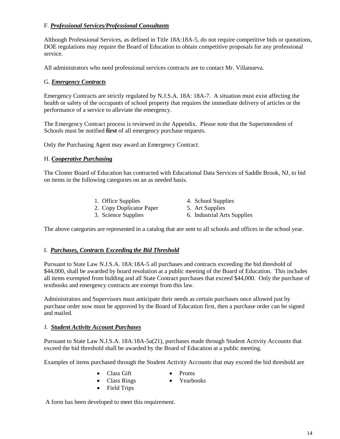#### F. *Professional Services/Professional Consultants*

Although Professional Services, as defined in Title 18A:18A-5, do not require competitive bids or quotations, DOE regulations may require the Board of Education to obtain competitive proposals for any professional service.

All administrators who need professional services contracts are to contact Mr. Villanueva.

#### G. *Emergency Contracts*

Emergency Contracts are strictly regulated by N.J.S.A. 18A: 18A-7. A situation must exist affecting the health or safety of the occupants of school property that requires the immediate delivery of articles or the performance of a service to alleviate the emergency.

The Emergency Contract process is reviewed in the Appendix. Please note that the Superintendent of Schools must be notified **first** of all emergency purchase requests.

Only the Purchasing Agent may award an Emergency Contract.

#### H. *Cooperative Purchasing*

The Closter Board of Education has contracted with Educational Data Services of Saddle Brook, NJ, to bid on items in the following categories on an as needed basis.

- 1. Office Supplies 4. School Supplies
- 2. Copy Duplicator Paper 5. Art Supplies
- 3. Science Supplies 6. Industrial Arts Supplies
- 

The above categories are represented in a catalog that are sent to all schools and offices in the school year.

#### I. *Purchases, Contracts Exceeding the Bid Threshold*

Pursuant to State Law N.J.S.A. 18A:18A-5 all purchases and contracts exceeding the bid threshold of \$44,000, shall be awarded by board resolution at a public meeting of the Board of Education. This includes all items exempted from bidding and all State Contract purchases that exceed \$44,000. Only the purchase of textbooks and emergency contracts are exempt from this law.

Administrators and Supervisors must anticipate their needs as certain purchases once allowed just by purchase order now must be approved by the Board of Education first, then a purchase order can be signed and mailed.

#### J. *Student Activity Account Purchases*

Pursuant to State Law N.J.S.A. 18A:18A-5a(21), purchases made through Student Activity Accounts that exceed the bid threshold shall be awarded by the Board of Education at a public meeting.

Examples of items purchased through the Student Activity Accounts that may exceed the bid threshold are

- Class Gift
	- Proms • Yearbooks
- Class Rings • Field Trips

A form has been developed to meet this requirement.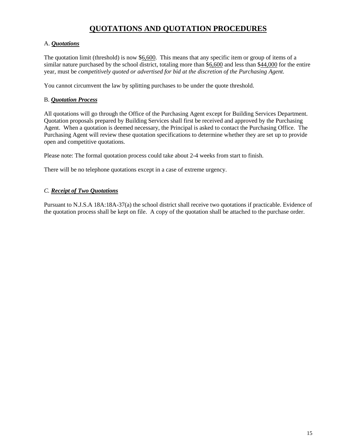## **QUOTATIONS AND QUOTATION PROCEDURES**

#### A. *Quotations*

The quotation limit (threshold) is now \$6,600. This means that any specific item or group of items of a similar nature purchased by the school district, totaling more than \$6,600 and less than \$44,000 for the entire year, must be *competitively quoted or advertised for bid at the discretion of the Purchasing Agent.*

You cannot circumvent the law by splitting purchases to be under the quote threshold.

#### B. *Quotation Process*

All quotations will go through the Office of the Purchasing Agent except for Building Services Department. Quotation proposals prepared by Building Services shall first be received and approved by the Purchasing Agent. When a quotation is deemed necessary, the Principal is asked to contact the Purchasing Office. The Purchasing Agent will review these quotation specifications to determine whether they are set up to provide open and competitive quotations.

Please note: The formal quotation process could take about 2-4 weeks from start to finish.

There will be no telephone quotations except in a case of extreme urgency.

#### *C. Receipt of Two Quotations*

Pursuant to N.J.S.A 18A:18A-37(a) the school district shall receive two quotations if practicable. Evidence of the quotation process shall be kept on file. A copy of the quotation shall be attached to the purchase order.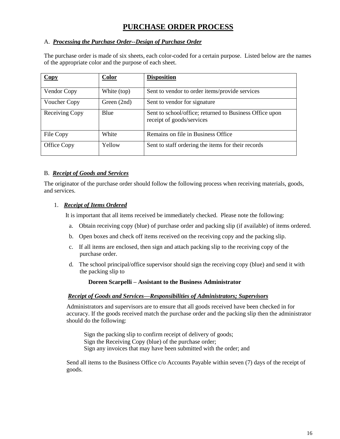## **PURCHASE ORDER PROCESS**

#### A. *Processing the Purchase Order--Design of Purchase Order*

The purchase order is made of six sheets, each color-coded for a certain purpose. Listed below are the names of the appropriate color and the purpose of each sheet.

| $\overline{Copy}$ | <b>Color</b> | <b>Disposition</b>                                                                   |
|-------------------|--------------|--------------------------------------------------------------------------------------|
| Vendor Copy       | White (top)  | Sent to vendor to order items/provide services                                       |
| Voucher Copy      | Green (2nd)  | Sent to vendor for signature                                                         |
| Receiving Copy    | Blue         | Sent to school/office; returned to Business Office upon<br>receipt of goods/services |
| File Copy         | White        | Remains on file in Business Office                                                   |
| Office Copy       | Yellow       | Sent to staff ordering the items for their records                                   |

#### B. *Receipt of Goods and Services*

The originator of the purchase order should follow the following process when receiving materials, goods, and services.

#### 1. *Receipt of Items Ordered*

It is important that all items received be immediately checked. Please note the following:

- a. Obtain receiving copy (blue) of purchase order and packing slip (if available) of items ordered.
- b. Open boxes and check off items received on the receiving copy and the packing slip.
- c. If all items are enclosed, then sign and attach packing slip to the receiving copy of the purchase order.
- d. The school principal/office supervisor should sign the receiving copy (blue) and send it with the packing slip to

#### **Doreen Scarpelli – Assistant to the Business Administrator**

#### *Receipt of Goods and Services—Responsibilities of Administrators; Supervisors*

Administrators and supervisors are to ensure that all goods received have been checked in for accuracy. If the goods received match the purchase order and the packing slip then the administrator should do the following:

Sign the packing slip to confirm receipt of delivery of goods; Sign the Receiving Copy (blue) of the purchase order; Sign any invoices that may have been submitted with the order; and

Send all items to the Business Office c/o Accounts Payable within seven (7) days of the receipt of goods.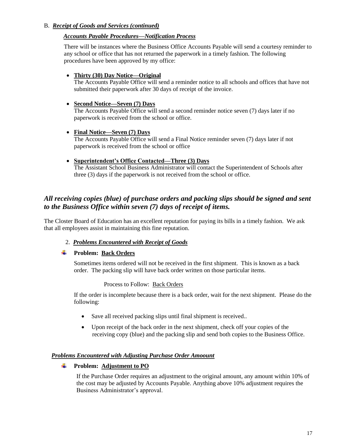#### B. *Receipt of Goods and Services (continued)*

#### *Accounts Payable Procedures—Notification Process*

There will be instances where the Business Office Accounts Payable will send a courtesy reminder to any school or office that has not returned the paperwork in a timely fashion. The following procedures have been approved by my office:

#### **Thirty (30) Day Notice—Original**

The Accounts Payable Office will send a reminder notice to all schools and offices that have not submitted their paperwork after 30 days of receipt of the invoice.

#### **Second Notice—Seven (7) Days**

The Accounts Payable Office will send a second reminder notice seven (7) days later if no paperwork is received from the school or office.

#### **Final Notice—Seven (7) Days**

The Accounts Payable Office will send a Final Notice reminder seven (7) days later if not paperwork is received from the school or office

#### **Superintendent's Office Contacted—Three (3) Days**

The Assistant School Business Administrator will contact the Superintendent of Schools after three (3) days if the paperwork is not received from the school or office.

### *All receiving copies (blue) of purchase orders and packing slips should be signed and sent to the Business Office within seven (7) days of receipt of items.*

The Closter Board of Education has an excellent reputation for paying its bills in a timely fashion. We ask that all employees assist in maintaining this fine reputation.

#### 2. *Problems Encountered with Receipt of Goods*

#### **Problem: Back Orders**

Sometimes items ordered will not be received in the first shipment. This is known as a back order. The packing slip will have back order written on those particular items.

#### Process to Follow: Back Orders

If the order is incomplete because there is a back order, wait for the next shipment. Please do the following:

- Save all received packing slips until final shipment is received..
- Upon receipt of the back order in the next shipment, check off your copies of the receiving copy (blue) and the packing slip and send both copies to the Business Office.

#### *Problems Encountered with Adjusting Purchase Order Amoount*

#### **Problem:** Adjustment to PO

If the Purchase Order requires an adjustment to the original amount, any amount within 10% of the cost may be adjusted by Accounts Payable. Anything above 10% adjustment requires the Business Administrator's approval.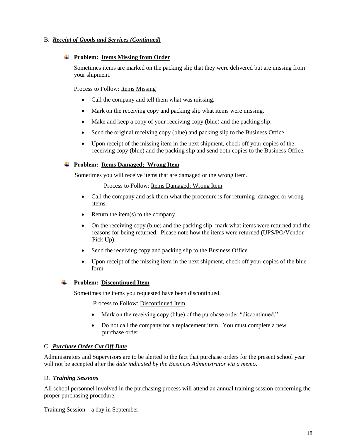#### B. *Receipt of Goods and Services (Continued)*

#### **Problem: Items Missing from Order**

Sometimes items are marked on the packing slip that they were delivered but are missing from your shipment.

Process to Follow: Items Missing

- Call the company and tell them what was missing.
- Mark on the receiving copy and packing slip what items were missing.
- Make and keep a copy of your receiving copy (blue) and the packing slip.
- Send the original receiving copy (blue) and packing slip to the Business Office.
- Upon receipt of the missing item in the next shipment, check off your copies of the receiving copy (blue) and the packing slip and send both copies to the Business Office.

**Problem: Items Damaged; Wrong Item**

Sometimes you will receive items that are damaged or the wrong item.

Process to Follow: Items Damaged; Wrong Item

- Call the company and ask them what the procedure is for returning damaged or wrong items.
- Return the item $(s)$  to the company.
- On the receiving copy (blue) and the packing slip, mark what items were returned and the reasons for being returned. Please note how the items were returned (UPS/PO/Vendor Pick Up).
- Send the receiving copy and packing slip to the Business Office.
- Upon receipt of the missing item in the next shipment, check off your copies of the blue form.

#### **Problem: Discontinued Item**

Sometimes the items you requested have been discontinued.

Process to Follow: Discontinued Item

- Mark on the receiving copy (blue) of the purchase order "discontinued."
- Do not call the company for a replacement item. You must complete a new purchase order.

#### C. *Purchase Order Cut Off Date*

Administrators and Supervisors are to be alerted to the fact that purchase orders for the present school year will not be accepted after the *date indicated by the Business Administrator via a memo*.

#### D. *Training Sessions*

All school personnel involved in the purchasing process will attend an annual training session concerning the proper purchasing procedure.

Training Session – a day in September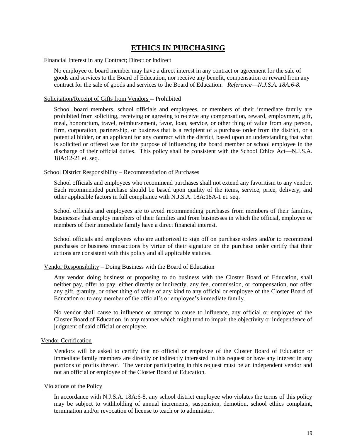## **ETHICS IN PURCHASING**

#### Financial Interest in any Contract; Direct or Indirect

No employee or board member may have a direct interest in any contract or agreement for the sale of goods and services to the Board of Education, nor receive any benefit, compensation or reward from any contract for the sale of goods and services to the Board of Education. *Reference*—*N.J.S.A. 18A:6-8.*

#### Solicitation/Receipt of Gifts from Vendors -- Prohibited

School board members, school officials and employees, or members of their immediate family are prohibited from soliciting, receiving or agreeing to receive any compensation, reward, employment, gift, meal, honorarium, travel, reimbursement, favor, loan, service, or other thing of value from any person, firm, corporation, partnership, or business that is a recipient of a purchase order from the district, or a potential bidder, or an applicant for any contract with the district, based upon an understanding that what is solicited or offered was for the purpose of influencing the board member or school employee in the discharge of their official duties. This policy shall be consistent with the School Ethics Act—N.J.S.A. 18A:12-21 et. seq.

#### School District Responsibility – Recommendation of Purchases

School officials and employees who recommend purchases shall not extend any favoritism to any vendor. Each recommended purchase should be based upon quality of the items, service, price, delivery, and other applicable factors in full compliance with N.J.S.A. 18A:18A-1 et. seq.

School officials and employees are to avoid recommending purchases from members of their families, businesses that employ members of their families and from businesses in which the official, employee or members of their immediate family have a direct financial interest.

School officials and employees who are authorized to sign off on purchase orders and/or to recommend purchases or business transactions by virtue of their signature on the purchase order certify that their actions are consistent with this policy and all applicable statutes.

#### Vendor Responsibility – Doing Business with the Board of Education

Any vendor doing business or proposing to do business with the Closter Board of Education, shall neither pay, offer to pay, either directly or indirectly, any fee, commission, or compensation, nor offer any gift, gratuity, or other thing of value of any kind to any official or employee of the Closter Board of Education or to any member of the official's or employee's immediate family.

No vendor shall cause to influence or attempt to cause to influence, any official or employee of the Closter Board of Education, in any manner which might tend to impair the objectivity or independence of judgment of said official or employee.

#### Vendor Certification

Vendors will be asked to certify that no official or employee of the Closter Board of Education or immediate family members are directly or indirectly interested in this request or have any interest in any portions of profits thereof. The vendor participating in this request must be an independent vendor and not an official or employee of the Closter Board of Education.

#### Violations of the Policy

In accordance with N.J.S.A. 18A:6-8, any school district employee who violates the terms of this policy may be subject to withholding of annual increments, suspension, demotion, school ethics complaint, termination and/or revocation of license to teach or to administer.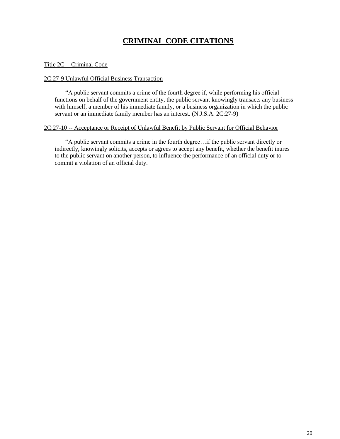## **CRIMINAL CODE CITATIONS**

#### Title 2C -- Criminal Code

#### 2C:27-9 Unlawful Official Business Transaction

 "A public servant commits a crime of the fourth degree if, while performing his official functions on behalf of the government entity, the public servant knowingly transacts any business with himself, a member of his immediate family, or a business organization in which the public servant or an immediate family member has an interest. (N.J.S.A. 2C:27-9)

#### 2C:27-10 -- Acceptance or Receipt of Unlawful Benefit by Public Servant for Official Behavior

 "A public servant commits a crime in the fourth degree…if the public servant directly or indirectly, knowingly solicits, accepts or agrees to accept any benefit, whether the benefit inures to the public servant on another person, to influence the performance of an official duty or to commit a violation of an official duty.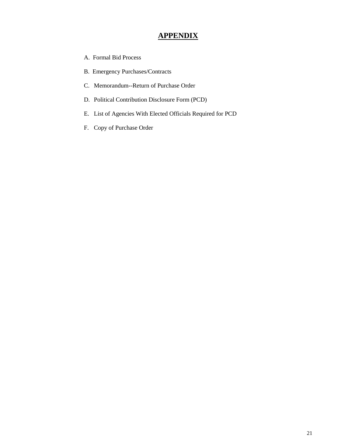## **APPENDIX**

- A. Formal Bid Process
- B. Emergency Purchases/Contracts
- C. Memorandum--Return of Purchase Order
- D. Political Contribution Disclosure Form (PCD)
- E. List of Agencies With Elected Officials Required for PCD
- F. Copy of Purchase Order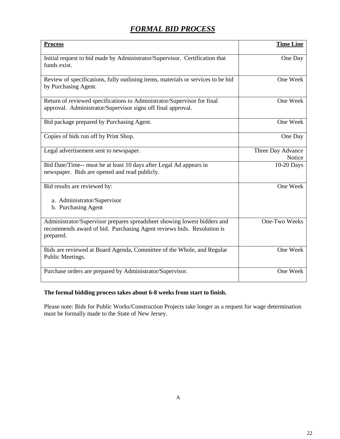## *FORMAL BID PROCESS*

| <b>Process</b>                                                                                                                                                 | <b>Time Line</b>            |
|----------------------------------------------------------------------------------------------------------------------------------------------------------------|-----------------------------|
| Initial request to bid made by Administrator/Supervisor. Certification that<br>funds exist.                                                                    | One Day                     |
| Review of specifications, fully outlining items, materials or services to be bid<br>by Purchasing Agent.                                                       | One Week                    |
| Return of reviewed specifications to Administrator/Supervisor for final<br>approval. Administrator/Supervisor signs off final approval.                        | One Week                    |
| Bid package prepared by Purchasing Agent.                                                                                                                      | One Week                    |
| Copies of bids run off by Print Shop.                                                                                                                          | One Day                     |
| Legal advertisement sent to newspaper.                                                                                                                         | Three Day Advance<br>Notice |
| Bid Date/Time-- must be at least 10 days after Legal Ad appears in<br>newspaper. Bids are opened and read publicly.                                            | 10-20 Days                  |
| Bid results are reviewed by:                                                                                                                                   | One Week                    |
| a. Administrator/Supervisor<br>b. Purchasing Agent                                                                                                             |                             |
| Administrator/Supervisor prepares spreadsheet showing lowest bidders and<br>recommends award of bid. Purchasing Agent reviews bids. Resolution is<br>prepared. | One-Two Weeks               |
| Bids are reviewed at Board Agenda, Committee of the Whole, and Regular<br>Public Meetings.                                                                     | One Week                    |
| Purchase orders are prepared by Administrator/Supervisor.                                                                                                      | One Week                    |

#### **The formal bidding process takes about 6-8 weeks from start to finish.**

Please note: Bids for Public Works/Construction Projects take longer as a request for wage determination must be formally made to the State of New Jersey.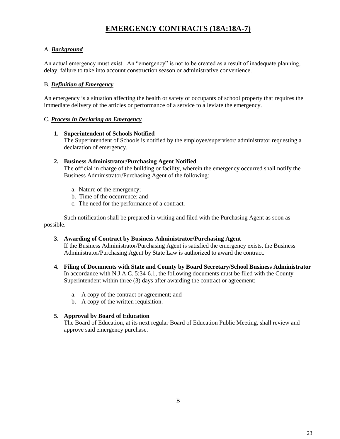## **EMERGENCY CONTRACTS (18A:18A-7)**

#### A. *Background*

An actual emergency must exist. An "emergency" is not to be created as a result of inadequate planning, delay, failure to take into account construction season or administrative convenience.

#### B. *Definition of Emergency*

An emergency is a situation affecting the health or safety of occupants of school property that requires the immediate delivery of the articles or performance of a service to alleviate the emergency.

#### C. *Process in Declaring an Emergency*

#### **1. Superintendent of Schools Notified**

The Superintendent of Schools is notified by the employee/supervisor/ administrator requesting a declaration of emergency.

#### **2. Business Administrator/Purchasing Agent Notified**

The official in charge of the building or facility, wherein the emergency occurred shall notify the Business Administrator/Purchasing Agent of the following:

- a. Nature of the emergency;
- b. Time of the occurrence; and
- c. The need for the performance of a contract.

Such notification shall be prepared in writing and filed with the Purchasing Agent as soon as possible.

#### **3. Awarding of Contract by Business Administrator/Purchasing Agent**

If the Business Administrator/Purchasing Agent is satisfied the emergency exists, the Business Administrator/Purchasing Agent by State Law is authorized to award the contract.

- **4. Filing of Documents with State and County by Board Secretary/School Business Administrator** In accordance with N.J.A.C. 5:34-6.1, the following documents must be filed with the County Superintendent within three (3) days after awarding the contract or agreement:
	- a. A copy of the contract or agreement; and
	- b. A copy of the written requisition.

#### **5. Approval by Board of Education**

The Board of Education, at its next regular Board of Education Public Meeting, shall review and approve said emergency purchase.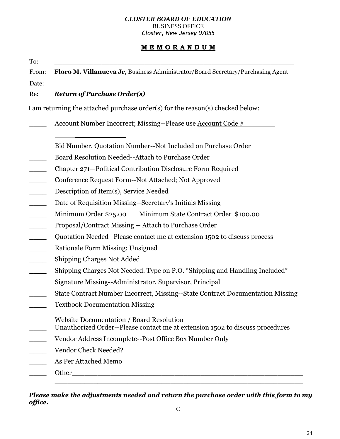#### *CLOSTER BOARD OF EDUCATION* BUSINESS OFFICE

*Closter, New Jersey 07055*

### **M E M O R A N D U M**

| Floro M. Villanueva Jr, Business Administrator/Board Secretary/Purchasing Agent                                           |
|---------------------------------------------------------------------------------------------------------------------------|
| <b>Return of Purchase Order(s)</b>                                                                                        |
| I am returning the attached purchase order(s) for the reason(s) checked below:                                            |
| Account Number Incorrect; Missing--Please use Account Code #                                                              |
| Bid Number, Quotation Number--Not Included on Purchase Order                                                              |
| Board Resolution Needed--Attach to Purchase Order                                                                         |
| Chapter 271-Political Contribution Disclosure Form Required                                                               |
| Conference Request Form--Not Attached; Not Approved                                                                       |
| Description of Item(s), Service Needed                                                                                    |
| Date of Requisition Missing--Secretary's Initials Missing                                                                 |
| Minimum Order \$25.00<br>Minimum State Contract Order \$100.00                                                            |
| Proposal/Contract Missing -- Attach to Purchase Order                                                                     |
| Quotation Needed--Please contact me at extension 1502 to discuss process                                                  |
| Rationale Form Missing; Unsigned                                                                                          |
| <b>Shipping Charges Not Added</b>                                                                                         |
| Shipping Charges Not Needed. Type on P.O. "Shipping and Handling Included"                                                |
| Signature Missing--Administrator, Supervisor, Principal                                                                   |
| State Contract Number Incorrect, Missing--State Contract Documentation Missing                                            |
| <b>Textbook Documentation Missing</b>                                                                                     |
| Website Documentation / Board Resolution<br>Unauthorized Order--Please contact me at extension 1502 to discuss procedures |
| Vendor Address Incomplete--Post Office Box Number Only                                                                    |
| Vendor Check Needed?                                                                                                      |
| As Per Attached Memo                                                                                                      |
|                                                                                                                           |

*Please make the adjustments needed and return the purchase order with this form to my office.*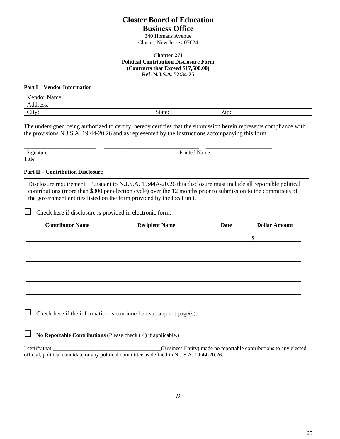## **Closter Board of Education Business Office**

340 Homans Avenue Closter, New Jersey 07624

#### **Chapter 271 Political Contribution Disclosure Form (Contracts that Exceed \$17,500.00) Ref. N.J.S.A. 52:34-25**

#### **Part I – Vendor Information**

| Vendor Name: |        |                       |  |
|--------------|--------|-----------------------|--|
| Address:     |        |                       |  |
| City:        | State: | ~∙<br>$\mathsf{Zip}:$ |  |

The undersigned being authorized to certify, hereby certifies that the submission herein represents compliance with the provisions N.J.S.A. 19:44-20.26 and as represented by the Instructions accompanying this form.

\_\_\_\_\_\_\_\_\_\_\_\_\_\_\_\_\_\_\_\_\_\_\_\_\_\_ \_\_\_\_\_\_\_\_\_\_\_\_\_\_\_\_\_\_\_\_\_\_\_\_\_\_\_\_\_\_\_\_\_\_ \_\_\_\_\_\_\_\_\_\_\_\_\_\_\_\_\_\_\_\_\_\_\_\_ Title

Signature Printed Name

#### **Part II – Contribution Disclosure**

Disclosure requirement: Pursuant to N.J.S.A. 19:44A-20.26 this disclosure must include all reportable political contributions (more than \$300 per election cycle) over the 12 months prior to submission to the committees of the government entities listed on the form provided by the local unit.

 $\Box$  Check here if disclosure is provided in electronic form.

| <b>Contributor Name</b> | <b>Recipient Name</b> | <b>Date</b> | <b>Dollar Amount</b> |
|-------------------------|-----------------------|-------------|----------------------|
|                         |                       |             |                      |
|                         |                       |             | \$                   |
|                         |                       |             |                      |
|                         |                       |             |                      |
|                         |                       |             |                      |
|                         |                       |             |                      |
|                         |                       |             |                      |
|                         |                       |             |                      |
|                         |                       |             |                      |
|                         |                       |             |                      |
|                         |                       |             |                      |

 $\Box$  Check here if the information is continued on subsequent page(s).

**No Reportable Contributions** (Please check  $(\checkmark)$  if applicable.)

I certify that **I** certify that **I** certify that **I** certify that **I** certify that **I** certify that **I** certify that **I** certify that **I** certify that **I** certify that **I** certify that **I** certify that **I** certify that **I** official, political candidate or any political committee as defined in N.J.S.A. 19:44-20.26.

 $\overline{a_1}$  ,  $\overline{a_2}$  ,  $\overline{a_3}$  ,  $\overline{a_4}$  ,  $\overline{a_5}$  ,  $\overline{a_6}$  ,  $\overline{a_7}$  ,  $\overline{a_8}$  ,  $\overline{a_9}$  ,  $\overline{a_9}$  ,  $\overline{a_9}$  ,  $\overline{a_9}$  ,  $\overline{a_9}$  ,  $\overline{a_9}$  ,  $\overline{a_9}$  ,  $\overline{a_9}$  ,  $\overline{a_9}$  ,